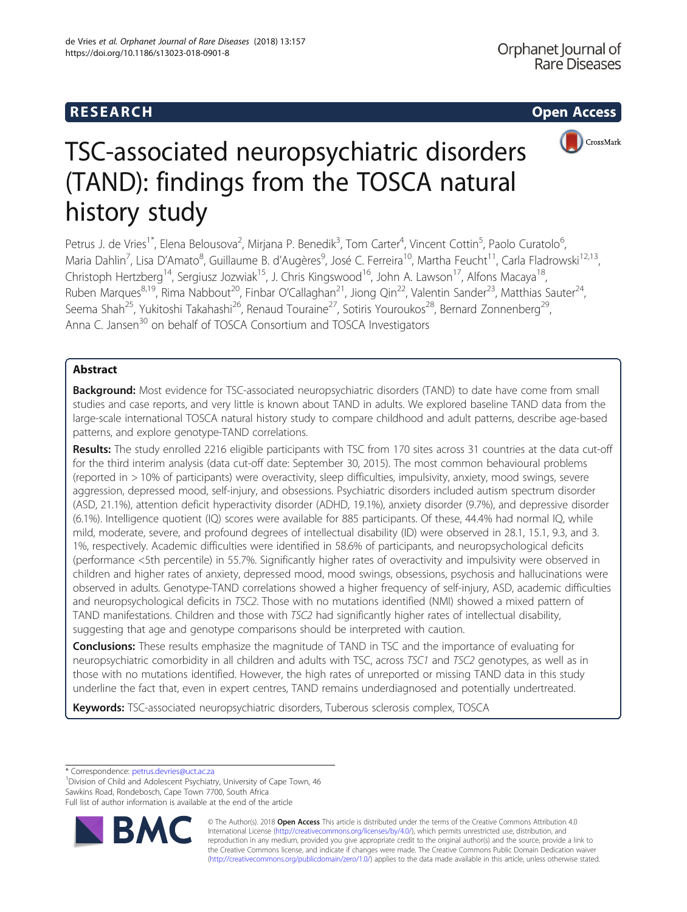## **RESEARCH CHEAR CHEAR CHEAR CHEAR CHEAR CHEAR CHEAR CHEAR CHEAR CHEAR CHEAR CHEAR CHEAR CHEAR CHEAR CHEAR CHEAR**



# TSC-associated neuropsychiatric disorders (TAND): findings from the TOSCA natural history study

Petrus J. de Vries<sup>1\*</sup>, Elena Belousova<sup>2</sup>, Mirjana P. Benedik<sup>3</sup>, Tom Carter<sup>4</sup>, Vincent Cottin<sup>5</sup>, Paolo Curatolo<sup>6</sup> , Maria Dahlin<sup>7</sup>, Lisa D'Amato<sup>8</sup>, Guillaume B. d'Augères<sup>9</sup>, José C. Ferreira<sup>10</sup>, Martha Feucht<sup>11</sup>, Carla Fladrowski<sup>12,13</sup>, Christoph Hertzberg<sup>14</sup>, Sergiusz Jozwiak<sup>15</sup>, J. Chris Kingswood<sup>16</sup>, John A. Lawson<sup>17</sup>, Alfons Macaya<sup>18</sup>, Ruben Marques<sup>8,19</sup>, Rima Nabbout<sup>20</sup>, Finbar O'Callaghan<sup>21</sup>, Jiong Qin<sup>22</sup>, Valentin Sander<sup>23</sup>, Matthias Sauter<sup>24</sup>, Seema Shah<sup>25</sup>, Yukitoshi Takahashi<sup>26</sup>, Renaud Touraine<sup>27</sup>, Sotiris Youroukos<sup>28</sup>, Bernard Zonnenberg<sup>29</sup>, Anna C. Jansen<sup>30</sup> on behalf of TOSCA Consortium and TOSCA Investigators

## Abstract

Background: Most evidence for TSC-associated neuropsychiatric disorders (TAND) to date have come from small studies and case reports, and very little is known about TAND in adults. We explored baseline TAND data from the large-scale international TOSCA natural history study to compare childhood and adult patterns, describe age-based patterns, and explore genotype-TAND correlations.

Results: The study enrolled 2216 eligible participants with TSC from 170 sites across 31 countries at the data cut-off for the third interim analysis (data cut-off date: September 30, 2015). The most common behavioural problems (reported in > 10% of participants) were overactivity, sleep difficulties, impulsivity, anxiety, mood swings, severe aggression, depressed mood, self-injury, and obsessions. Psychiatric disorders included autism spectrum disorder (ASD, 21.1%), attention deficit hyperactivity disorder (ADHD, 19.1%), anxiety disorder (9.7%), and depressive disorder (6.1%). Intelligence quotient (IQ) scores were available for 885 participants. Of these, 44.4% had normal IQ, while mild, moderate, severe, and profound degrees of intellectual disability (ID) were observed in 28.1, 15.1, 9.3, and 3. 1%, respectively. Academic difficulties were identified in 58.6% of participants, and neuropsychological deficits (performance <5th percentile) in 55.7%. Significantly higher rates of overactivity and impulsivity were observed in children and higher rates of anxiety, depressed mood, mood swings, obsessions, psychosis and hallucinations were observed in adults. Genotype-TAND correlations showed a higher frequency of self-injury, ASD, academic difficulties and neuropsychological deficits in TSC2. Those with no mutations identified (NMI) showed a mixed pattern of TAND manifestations. Children and those with TSC2 had significantly higher rates of intellectual disability, suggesting that age and genotype comparisons should be interpreted with caution.

**Conclusions:** These results emphasize the magnitude of TAND in TSC and the importance of evaluating for neuropsychiatric comorbidity in all children and adults with TSC, across TSC1 and TSC2 genotypes, as well as in those with no mutations identified. However, the high rates of unreported or missing TAND data in this study underline the fact that, even in expert centres, TAND remains underdiagnosed and potentially undertreated.

Keywords: TSC-associated neuropsychiatric disorders, Tuberous sclerosis complex, TOSCA

\* Correspondence: [petrus.devries@uct.ac.za](mailto:petrus.devries@uct.ac.za) <sup>1</sup>

<sup>1</sup> Division of Child and Adolescent Psychiatry, University of Cape Town, 46 Sawkins Road, Rondebosch, Cape Town 7700, South Africa Full list of author information is available at the end of the article



© The Author(s). 2018 **Open Access** This article is distributed under the terms of the Creative Commons Attribution 4.0 International License [\(http://creativecommons.org/licenses/by/4.0/](http://creativecommons.org/licenses/by/4.0/)), which permits unrestricted use, distribution, and reproduction in any medium, provided you give appropriate credit to the original author(s) and the source, provide a link to the Creative Commons license, and indicate if changes were made. The Creative Commons Public Domain Dedication waiver [\(http://creativecommons.org/publicdomain/zero/1.0/](http://creativecommons.org/publicdomain/zero/1.0/)) applies to the data made available in this article, unless otherwise stated.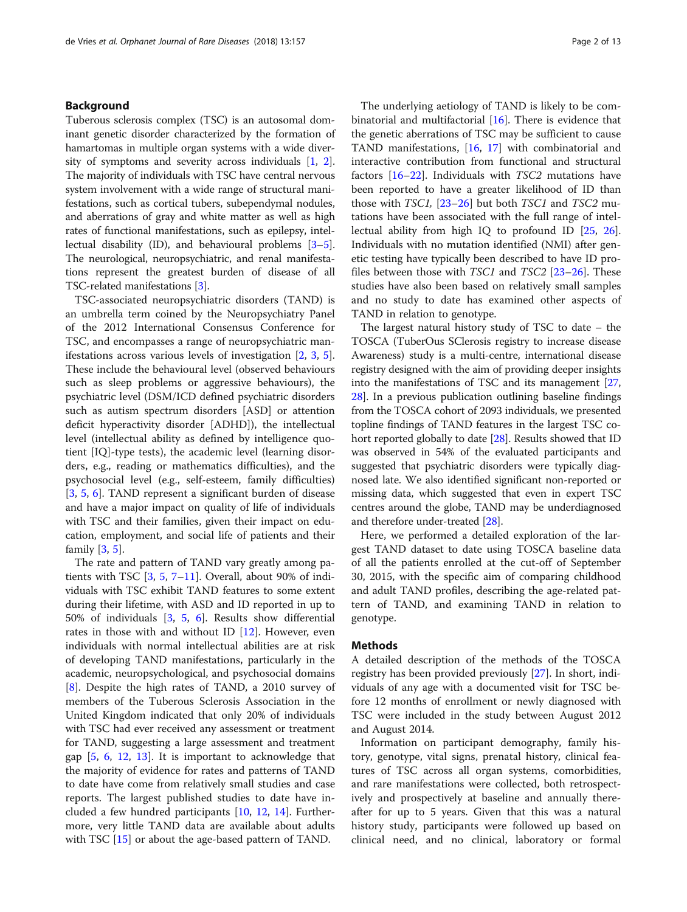## Background

Tuberous sclerosis complex (TSC) is an autosomal dominant genetic disorder characterized by the formation of hamartomas in multiple organ systems with a wide diversity of symptoms and severity across individuals [[1,](#page-11-0) [2](#page-11-0)]. The majority of individuals with TSC have central nervous system involvement with a wide range of structural manifestations, such as cortical tubers, subependymal nodules, and aberrations of gray and white matter as well as high rates of functional manifestations, such as epilepsy, intellectual disability (ID), and behavioural problems [[3](#page-11-0)–[5](#page-11-0)]. The neurological, neuropsychiatric, and renal manifestations represent the greatest burden of disease of all TSC-related manifestations [[3](#page-11-0)].

TSC-associated neuropsychiatric disorders (TAND) is an umbrella term coined by the Neuropsychiatry Panel of the 2012 International Consensus Conference for TSC, and encompasses a range of neuropsychiatric manifestations across various levels of investigation [\[2,](#page-11-0) [3,](#page-11-0) [5](#page-11-0)]. These include the behavioural level (observed behaviours such as sleep problems or aggressive behaviours), the psychiatric level (DSM/ICD defined psychiatric disorders such as autism spectrum disorders [ASD] or attention deficit hyperactivity disorder [ADHD]), the intellectual level (intellectual ability as defined by intelligence quotient [IQ]-type tests), the academic level (learning disorders, e.g., reading or mathematics difficulties), and the psychosocial level (e.g., self-esteem, family difficulties) [[3,](#page-11-0) [5](#page-11-0), [6](#page-11-0)]. TAND represent a significant burden of disease and have a major impact on quality of life of individuals with TSC and their families, given their impact on education, employment, and social life of patients and their family [[3,](#page-11-0) [5\]](#page-11-0).

The rate and pattern of TAND vary greatly among patients with TSC  $[3, 5, 7-11]$  $[3, 5, 7-11]$  $[3, 5, 7-11]$  $[3, 5, 7-11]$  $[3, 5, 7-11]$  $[3, 5, 7-11]$  $[3, 5, 7-11]$  $[3, 5, 7-11]$  $[3, 5, 7-11]$ . Overall, about 90% of individuals with TSC exhibit TAND features to some extent during their lifetime, with ASD and ID reported in up to 50% of individuals [[3,](#page-11-0) [5](#page-11-0), [6\]](#page-11-0). Results show differential rates in those with and without ID [[12\]](#page-11-0). However, even individuals with normal intellectual abilities are at risk of developing TAND manifestations, particularly in the academic, neuropsychological, and psychosocial domains [[8\]](#page-11-0). Despite the high rates of TAND, a 2010 survey of members of the Tuberous Sclerosis Association in the United Kingdom indicated that only 20% of individuals with TSC had ever received any assessment or treatment for TAND, suggesting a large assessment and treatment gap [[5,](#page-11-0) [6](#page-11-0), [12,](#page-11-0) [13](#page-11-0)]. It is important to acknowledge that the majority of evidence for rates and patterns of TAND to date have come from relatively small studies and case reports. The largest published studies to date have included a few hundred participants [\[10](#page-11-0), [12,](#page-11-0) [14\]](#page-11-0). Furthermore, very little TAND data are available about adults with TSC [\[15](#page-11-0)] or about the age-based pattern of TAND.

The underlying aetiology of TAND is likely to be combinatorial and multifactorial [\[16](#page-11-0)]. There is evidence that the genetic aberrations of TSC may be sufficient to cause TAND manifestations, [[16,](#page-11-0) [17](#page-11-0)] with combinatorial and interactive contribution from functional and structural factors  $[16–22]$  $[16–22]$  $[16–22]$  $[16–22]$  $[16–22]$ . Individuals with *TSC2* mutations have been reported to have a greater likelihood of ID than those with *TSC1*,  $[23-26]$  $[23-26]$  $[23-26]$  $[23-26]$  but both *TSC1* and *TSC2* mutations have been associated with the full range of intellectual ability from high IQ to profound ID [\[25](#page-11-0), [26](#page-11-0)]. Individuals with no mutation identified (NMI) after genetic testing have typically been described to have ID profiles between those with  $TSC1$  and  $TSC2$  [\[23](#page-11-0)–[26\]](#page-11-0). These studies have also been based on relatively small samples and no study to date has examined other aspects of TAND in relation to genotype.

The largest natural history study of TSC to date – the TOSCA (TuberOus SClerosis registry to increase disease Awareness) study is a multi-centre, international disease registry designed with the aim of providing deeper insights into the manifestations of TSC and its management [[27](#page-11-0), [28](#page-11-0)]. In a previous publication outlining baseline findings from the TOSCA cohort of 2093 individuals, we presented topline findings of TAND features in the largest TSC cohort reported globally to date [\[28\]](#page-11-0). Results showed that ID was observed in 54% of the evaluated participants and suggested that psychiatric disorders were typically diagnosed late. We also identified significant non-reported or missing data, which suggested that even in expert TSC centres around the globe, TAND may be underdiagnosed and therefore under-treated [\[28](#page-11-0)].

Here, we performed a detailed exploration of the largest TAND dataset to date using TOSCA baseline data of all the patients enrolled at the cut-off of September 30, 2015, with the specific aim of comparing childhood and adult TAND profiles, describing the age-related pattern of TAND, and examining TAND in relation to genotype.

## Methods

A detailed description of the methods of the TOSCA registry has been provided previously [\[27](#page-11-0)]. In short, individuals of any age with a documented visit for TSC before 12 months of enrollment or newly diagnosed with TSC were included in the study between August 2012 and August 2014.

Information on participant demography, family history, genotype, vital signs, prenatal history, clinical features of TSC across all organ systems, comorbidities, and rare manifestations were collected, both retrospectively and prospectively at baseline and annually thereafter for up to 5 years. Given that this was a natural history study, participants were followed up based on clinical need, and no clinical, laboratory or formal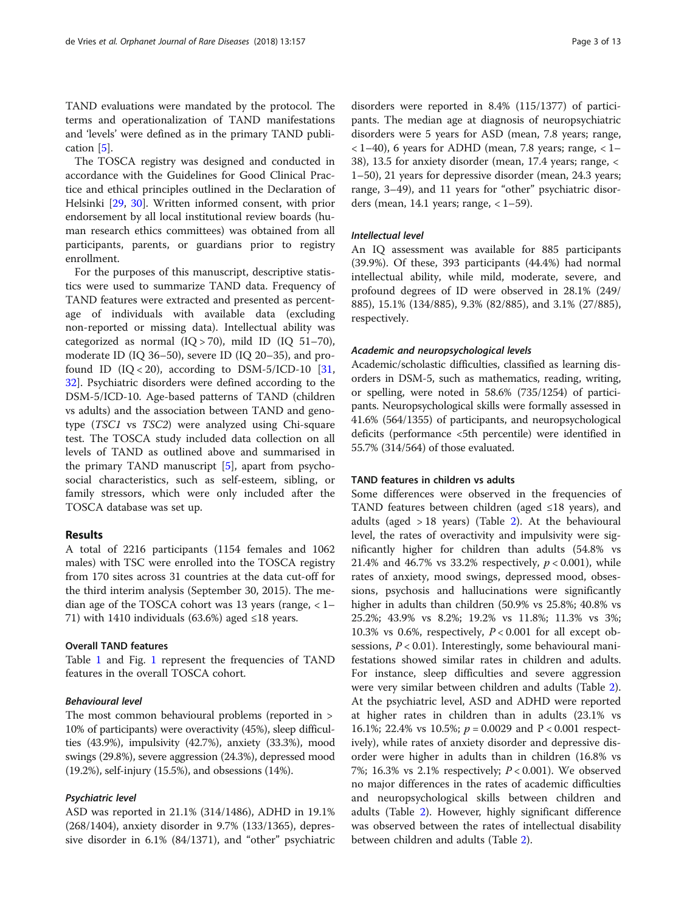TAND evaluations were mandated by the protocol. The terms and operationalization of TAND manifestations and 'levels' were defined as in the primary TAND publication [[5\]](#page-11-0).

The TOSCA registry was designed and conducted in accordance with the Guidelines for Good Clinical Practice and ethical principles outlined in the Declaration of Helsinki [[29](#page-11-0), [30](#page-11-0)]. Written informed consent, with prior endorsement by all local institutional review boards (human research ethics committees) was obtained from all participants, parents, or guardians prior to registry enrollment.

For the purposes of this manuscript, descriptive statistics were used to summarize TAND data. Frequency of TAND features were extracted and presented as percentage of individuals with available data (excluding non-reported or missing data). Intellectual ability was categorized as normal  $(IQ > 70)$ , mild ID  $(IQ 51–70)$ , moderate ID (IQ 36–50), severe ID (IQ 20–35), and profound ID  $(IQ < 20)$ , according to DSM-5/ICD-10 [[31](#page-11-0), [32\]](#page-12-0). Psychiatric disorders were defined according to the DSM-5/ICD-10. Age-based patterns of TAND (children vs adults) and the association between TAND and genotype (TSC1 vs TSC2) were analyzed using Chi-square test. The TOSCA study included data collection on all levels of TAND as outlined above and summarised in the primary TAND manuscript [\[5](#page-11-0)], apart from psychosocial characteristics, such as self-esteem, sibling, or family stressors, which were only included after the TOSCA database was set up.

## Results

A total of 2216 participants (1154 females and 1062 males) with TSC were enrolled into the TOSCA registry from 170 sites across 31 countries at the data cut-off for the third interim analysis (September 30, 2015). The median age of the TOSCA cohort was 13 years (range, < 1– 71) with 1410 individuals (63.6%) aged ≤18 years.

## Overall TAND features

Table [1](#page-3-0) and Fig. [1](#page-4-0) represent the frequencies of TAND features in the overall TOSCA cohort.

## Behavioural level

The most common behavioural problems (reported in > 10% of participants) were overactivity (45%), sleep difficulties (43.9%), impulsivity (42.7%), anxiety (33.3%), mood swings (29.8%), severe aggression (24.3%), depressed mood (19.2%), self-injury (15.5%), and obsessions (14%).

## Psychiatric level

ASD was reported in 21.1% (314/1486), ADHD in 19.1% (268/1404), anxiety disorder in 9.7% (133/1365), depressive disorder in 6.1% (84/1371), and "other" psychiatric

disorders were reported in 8.4% (115/1377) of participants. The median age at diagnosis of neuropsychiatric disorders were 5 years for ASD (mean, 7.8 years; range,  $(1-40)$ , 6 years for ADHD (mean, 7.8 years; range,  $(1-40)$ 38), 13.5 for anxiety disorder (mean, 17.4 years; range, < 1–50), 21 years for depressive disorder (mean, 24.3 years; range, 3–49), and 11 years for "other" psychiatric disorders (mean, 14.1 years; range,  $<$  1–59).

## Intellectual level

An IQ assessment was available for 885 participants (39.9%). Of these, 393 participants (44.4%) had normal intellectual ability, while mild, moderate, severe, and profound degrees of ID were observed in 28.1% (249/ 885), 15.1% (134/885), 9.3% (82/885), and 3.1% (27/885), respectively.

## Academic and neuropsychological levels

Academic/scholastic difficulties, classified as learning disorders in DSM-5, such as mathematics, reading, writing, or spelling, were noted in 58.6% (735/1254) of participants. Neuropsychological skills were formally assessed in 41.6% (564/1355) of participants, and neuropsychological deficits (performance <5th percentile) were identified in 55.7% (314/564) of those evaluated.

## TAND features in children vs adults

Some differences were observed in the frequencies of TAND features between children (aged ≤18 years), and adults (aged  $> 18$  years) (Table [2\)](#page-5-0). At the behavioural level, the rates of overactivity and impulsivity were significantly higher for children than adults (54.8% vs 21.4% and 46.7% vs 33.2% respectively,  $p < 0.001$ ), while rates of anxiety, mood swings, depressed mood, obsessions, psychosis and hallucinations were significantly higher in adults than children (50.9% vs 25.8%; 40.8% vs 25.2%; 43.9% vs 8.2%; 19.2% vs 11.8%; 11.3% vs 3%; 10.3% vs 0.6%, respectively,  $P < 0.001$  for all except obsessions,  $P < 0.01$ ). Interestingly, some behavioural manifestations showed similar rates in children and adults. For instance, sleep difficulties and severe aggression were very similar between children and adults (Table [2](#page-5-0)). At the psychiatric level, ASD and ADHD were reported at higher rates in children than in adults (23.1% vs 16.1%; 22.4% vs 10.5%;  $p = 0.0029$  and  $P < 0.001$  respectively), while rates of anxiety disorder and depressive disorder were higher in adults than in children (16.8% vs 7%; 16.3% vs 2.1% respectively;  $P < 0.001$ ). We observed no major differences in the rates of academic difficulties and neuropsychological skills between children and adults (Table [2](#page-5-0)). However, highly significant difference was observed between the rates of intellectual disability between children and adults (Table [2\)](#page-5-0).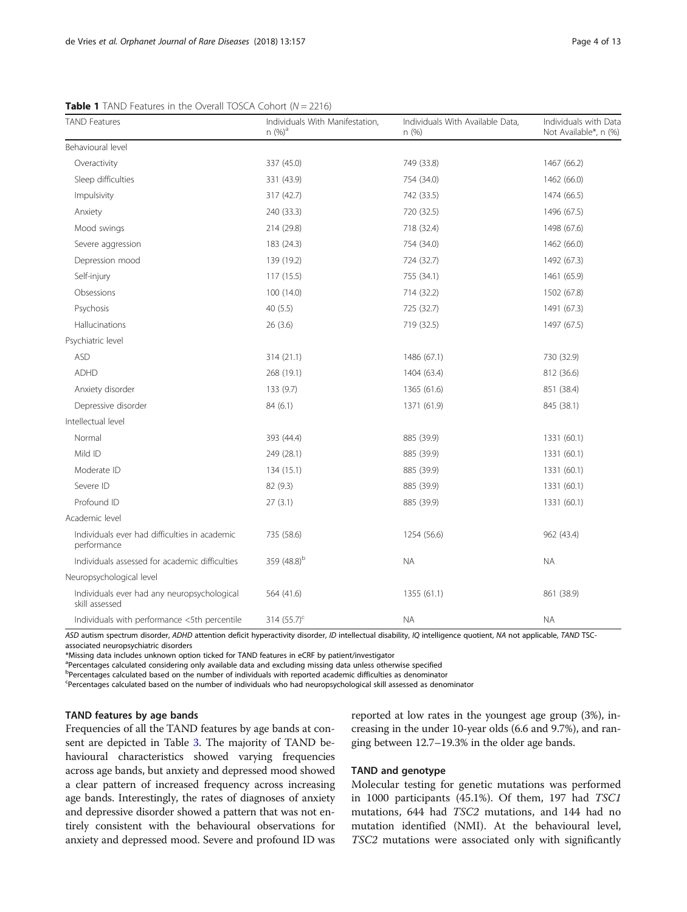| <b>TAND Features</b>                                          | Individuals With Manifestation,<br>$n (%)^a$ | Individuals With Available Data,<br>n (%) | Individuals with Data<br>Not Available*, n (%) |
|---------------------------------------------------------------|----------------------------------------------|-------------------------------------------|------------------------------------------------|
| Behavioural level                                             |                                              |                                           |                                                |
| Overactivity                                                  | 337 (45.0)                                   | 749 (33.8)                                | 1467 (66.2)                                    |
| Sleep difficulties                                            | 331 (43.9)                                   | 754 (34.0)                                | 1462 (66.0)                                    |
| Impulsivity                                                   | 317 (42.7)                                   | 742 (33.5)                                | 1474 (66.5)                                    |
| Anxiety                                                       | 240 (33.3)                                   | 720 (32.5)                                | 1496 (67.5)                                    |
| Mood swings                                                   | 214 (29.8)                                   | 718 (32.4)                                | 1498 (67.6)                                    |
| Severe aggression                                             | 183 (24.3)                                   | 754 (34.0)                                | 1462 (66.0)                                    |
| Depression mood                                               | 139 (19.2)                                   | 724 (32.7)                                | 1492 (67.3)                                    |
| Self-injury                                                   | 117(15.5)                                    | 755 (34.1)                                | 1461 (65.9)                                    |
| Obsessions                                                    | 100 (14.0)                                   | 714 (32.2)                                | 1502 (67.8)                                    |
| Psychosis                                                     | 40(5.5)                                      | 725 (32.7)                                | 1491 (67.3)                                    |
| Hallucinations                                                | 26(3.6)                                      | 719 (32.5)                                | 1497 (67.5)                                    |
| Psychiatric level                                             |                                              |                                           |                                                |
| <b>ASD</b>                                                    | 314(21.1)                                    | 1486 (67.1)                               | 730 (32.9)                                     |
| <b>ADHD</b>                                                   | 268 (19.1)                                   | 1404 (63.4)                               | 812 (36.6)                                     |
| Anxiety disorder                                              | 133 (9.7)                                    | 1365 (61.6)                               | 851 (38.4)                                     |
| Depressive disorder                                           | 84(6.1)                                      | 1371 (61.9)                               | 845 (38.1)                                     |
| Intellectual level                                            |                                              |                                           |                                                |
| Normal                                                        | 393 (44.4)                                   | 885 (39.9)                                | 1331 (60.1)                                    |
| Mild ID                                                       | 249 (28.1)                                   | 885 (39.9)                                | 1331 (60.1)                                    |
| Moderate ID                                                   | 134(15.1)                                    | 885 (39.9)                                | 1331 (60.1)                                    |
| Severe ID                                                     | 82 (9.3)                                     | 885 (39.9)                                | 1331 (60.1)                                    |
| Profound ID                                                   | 27(3.1)                                      | 885 (39.9)                                | 1331 (60.1)                                    |
| Academic level                                                |                                              |                                           |                                                |
| Individuals ever had difficulties in academic<br>performance  | 735 (58.6)                                   | 1254 (56.6)                               | 962 (43.4)                                     |
| Individuals assessed for academic difficulties                | 359 (48.8) <sup>b</sup>                      | <b>NA</b>                                 | <b>NA</b>                                      |
| Neuropsychological level                                      |                                              |                                           |                                                |
| Individuals ever had any neuropsychological<br>skill assessed | 564 (41.6)                                   | 1355 (61.1)                               | 861 (38.9)                                     |
| Individuals with performance <5th percentile                  | 314 $(55.7)^c$                               | <b>NA</b>                                 | <b>NA</b>                                      |

<span id="page-3-0"></span>**Table 1** TAND Features in the Overall TOSCA Cohort  $(N = 2216)$ 

ASD autism spectrum disorder, ADHD attention deficit hyperactivity disorder, ID intellectual disability, IQ intelligence quotient, NA not applicable, TAND TSCassociated neuropsychiatric disorders

\*Missing data includes unknown option ticked for TAND features in eCRF by patient/investigator

<sup>a</sup>Percentages calculated considering only available data and excluding missing data unless otherwise specified

**PPercentages calculated based on the number of individuals with reported academic difficulties as denominator** 

<sup>c</sup>Percentages calculated based on the number of individuals who had neuropsychological skill assessed as denominator

## TAND features by age bands

Frequencies of all the TAND features by age bands at consent are depicted in Table [3](#page-6-0). The majority of TAND behavioural characteristics showed varying frequencies across age bands, but anxiety and depressed mood showed a clear pattern of increased frequency across increasing age bands. Interestingly, the rates of diagnoses of anxiety and depressive disorder showed a pattern that was not entirely consistent with the behavioural observations for anxiety and depressed mood. Severe and profound ID was

reported at low rates in the youngest age group (3%), increasing in the under 10-year olds (6.6 and 9.7%), and ranging between 12.7–19.3% in the older age bands.

## TAND and genotype

Molecular testing for genetic mutations was performed in 1000 participants (45.1%). Of them, 197 had TSC1 mutations, 644 had TSC2 mutations, and 144 had no mutation identified (NMI). At the behavioural level, TSC2 mutations were associated only with significantly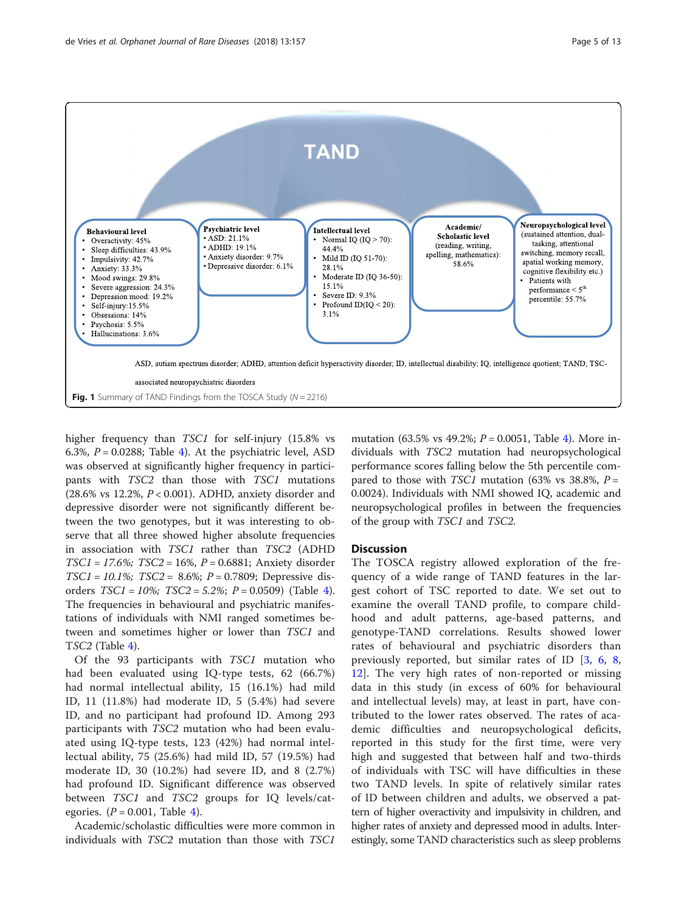<span id="page-4-0"></span>

higher frequency than TSC1 for self-injury (15.8% vs 6.3%,  $P = 0.0288$ ; Table [4\)](#page-7-0). At the psychiatric level, ASD was observed at significantly higher frequency in participants with TSC2 than those with TSC1 mutations (28.6% vs 12.2%, P < 0.001). ADHD, anxiety disorder and depressive disorder were not significantly different between the two genotypes, but it was interesting to observe that all three showed higher absolute frequencies in association with TSC1 rather than TSC2 (ADHD TSC1 = 17.6%; TSC2 = 16%, P = 0.6881; Anxiety disorder  $TSC1 = 10.1\%$ ;  $TSC2 = 8.6\%$ ;  $P = 0.7809$ ; Depressive disorders  $TSC1 = 10\%$ ;  $TSC2 = 5.2\%$ ;  $P = 0.0509$ ) (Table [4](#page-7-0)). The frequencies in behavioural and psychiatric manifestations of individuals with NMI ranged sometimes between and sometimes higher or lower than TSC1 and TSC2 (Table [4\)](#page-7-0).

Of the 93 participants with TSC1 mutation who had been evaluated using IQ-type tests, 62 (66.7%) had normal intellectual ability, 15 (16.1%) had mild ID, 11 (11.8%) had moderate ID, 5 (5.4%) had severe ID, and no participant had profound ID. Among 293 participants with TSC2 mutation who had been evaluated using IQ-type tests, 123 (42%) had normal intellectual ability, 75 (25.6%) had mild ID, 57 (19.5%) had moderate ID, 30 (10.2%) had severe ID, and 8 (2.7%) had profound ID. Significant difference was observed between TSC1 and TSC2 groups for IQ levels/categories.  $(P = 0.001,$  Table [4](#page-7-0)).

Academic/scholastic difficulties were more common in individuals with TSC2 mutation than those with TSC1

mutation (63.5% vs 49.2%;  $P = 0.0051$ , Table [4\)](#page-7-0). More individuals with TSC2 mutation had neuropsychological performance scores falling below the 5th percentile compared to those with *TSC1* mutation (63% vs 38.8%,  $P =$ 0.0024). Individuals with NMI showed IQ, academic and neuropsychological profiles in between the frequencies of the group with TSC1 and TSC2.

## **Discussion**

The TOSCA registry allowed exploration of the frequency of a wide range of TAND features in the largest cohort of TSC reported to date. We set out to examine the overall TAND profile, to compare childhood and adult patterns, age-based patterns, and genotype-TAND correlations. Results showed lower rates of behavioural and psychiatric disorders than previously reported, but similar rates of ID [\[3](#page-11-0), [6,](#page-11-0) [8](#page-11-0), [12\]](#page-11-0). The very high rates of non-reported or missing data in this study (in excess of 60% for behavioural and intellectual levels) may, at least in part, have contributed to the lower rates observed. The rates of academic difficulties and neuropsychological deficits, reported in this study for the first time, were very high and suggested that between half and two-thirds of individuals with TSC will have difficulties in these two TAND levels. In spite of relatively similar rates of ID between children and adults, we observed a pattern of higher overactivity and impulsivity in children, and higher rates of anxiety and depressed mood in adults. Interestingly, some TAND characteristics such as sleep problems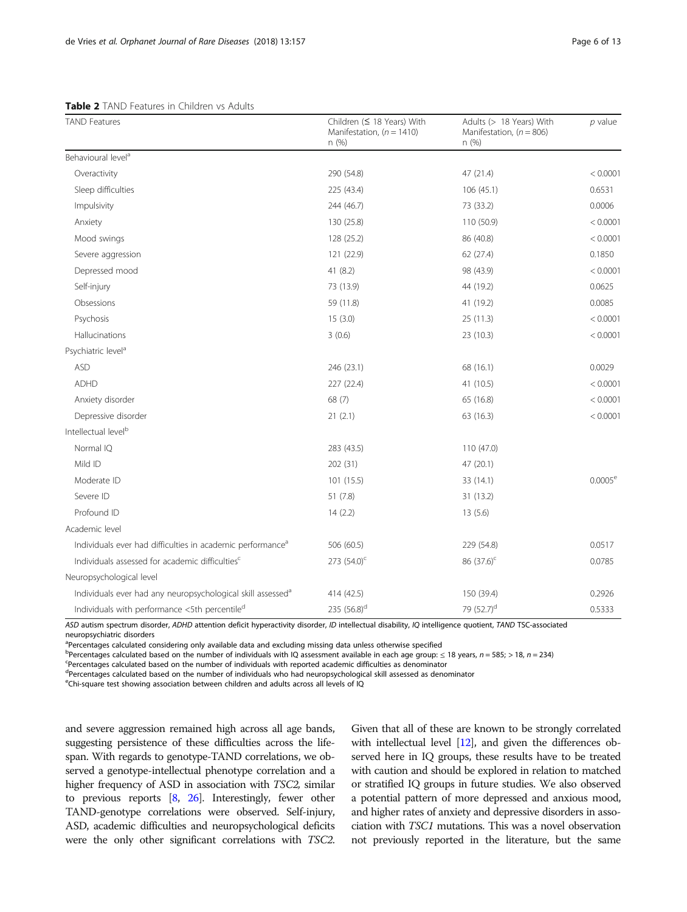<span id="page-5-0"></span>Table 2 TAND Features in Children vs Adults

| <b>TAND Features</b>                                                    | Children (≤ 18 Years) With<br>Manifestation, ( $n = 1410$ )<br>n(%) | Adults (> 18 Years) With<br>Manifestation, ( $n = 806$ )<br>n(%) | $p$ value        |
|-------------------------------------------------------------------------|---------------------------------------------------------------------|------------------------------------------------------------------|------------------|
| Behavioural level <sup>a</sup>                                          |                                                                     |                                                                  |                  |
| Overactivity                                                            | 290 (54.8)                                                          | 47 (21.4)                                                        | < 0.0001         |
| Sleep difficulties                                                      | 225 (43.4)                                                          | 106(45.1)                                                        | 0.6531           |
| Impulsivity                                                             | 244 (46.7)                                                          | 73 (33.2)                                                        | 0.0006           |
| Anxiety                                                                 | 130 (25.8)                                                          | 110 (50.9)                                                       | < 0.0001         |
| Mood swings                                                             | 128 (25.2)                                                          | 86 (40.8)                                                        | < 0.0001         |
| Severe aggression                                                       | 121 (22.9)                                                          | 62 (27.4)                                                        | 0.1850           |
| Depressed mood                                                          | 41(8.2)                                                             | 98 (43.9)                                                        | < 0.0001         |
| Self-injury                                                             | 73 (13.9)                                                           | 44 (19.2)                                                        | 0.0625           |
| Obsessions                                                              | 59 (11.8)                                                           | 41 (19.2)                                                        | 0.0085           |
| Psychosis                                                               | 15(3.0)                                                             | 25(11.3)                                                         | < 0.0001         |
| Hallucinations                                                          | 3(0.6)                                                              | 23 (10.3)                                                        | < 0.0001         |
| Psychiatric level <sup>a</sup>                                          |                                                                     |                                                                  |                  |
| <b>ASD</b>                                                              | 246 (23.1)                                                          | 68 (16.1)                                                        | 0.0029           |
| <b>ADHD</b>                                                             | 227 (22.4)                                                          | 41 (10.5)                                                        | < 0.0001         |
| Anxiety disorder                                                        | 68 (7)                                                              | 65 (16.8)                                                        | < 0.0001         |
| Depressive disorder                                                     | 21(2.1)                                                             | 63 (16.3)                                                        | < 0.0001         |
| Intellectual level <sup>b</sup>                                         |                                                                     |                                                                  |                  |
| Normal IQ                                                               | 283 (43.5)                                                          | 110 (47.0)                                                       |                  |
| Mild ID                                                                 | 202 (31)                                                            | 47 (20.1)                                                        |                  |
| Moderate ID                                                             | 101(15.5)                                                           | 33 (14.1)                                                        | $0.0005^{\rm e}$ |
| Severe ID                                                               | 51(7.8)                                                             | 31 (13.2)                                                        |                  |
| Profound ID                                                             | 14(2.2)                                                             | 13(5.6)                                                          |                  |
| Academic level                                                          |                                                                     |                                                                  |                  |
| Individuals ever had difficulties in academic performance <sup>a</sup>  | 506 (60.5)                                                          | 229 (54.8)                                                       | 0.0517           |
| Individuals assessed for academic difficulties <sup>c</sup>             | 273 $(54.0)^c$                                                      | 86 $(37.6)^c$                                                    | 0.0785           |
| Neuropsychological level                                                |                                                                     |                                                                  |                  |
| Individuals ever had any neuropsychological skill assessed <sup>a</sup> | 414 (42.5)                                                          | 150 (39.4)                                                       | 0.2926           |
| Individuals with performance <5th percentiled                           | 235 (56.8) <sup>d</sup>                                             | 79 (52.7) <sup>d</sup>                                           | 0.5333           |

ASD autism spectrum disorder, ADHD attention deficit hyperactivity disorder, ID intellectual disability, IQ intelligence quotient, TAND TSC-associated neuropsychiatric disorders

<sup>a</sup>Percentages calculated considering only available data and excluding missing data unless otherwise specified

<sup>b</sup>Percentages calculated based on the number of individuals with IQ assessment available in each age group: ≤ 18 years, n = 585; > 18, n = 234)<br>Spercentages calculated based on the number of individuals with reported ac

Percentages calculated based on the number of individuals with reported academic difficulties as denominator

<sup>d</sup>Percentages calculated based on the number of individuals who had neuropsychological skill assessed as denominator

<sup>e</sup>Chi-square test showing association between children and adults across all levels of IQ

and severe aggression remained high across all age bands, suggesting persistence of these difficulties across the lifespan. With regards to genotype-TAND correlations, we observed a genotype-intellectual phenotype correlation and a higher frequency of ASD in association with TSC2, similar to previous reports [\[8,](#page-11-0) [26](#page-11-0)]. Interestingly, fewer other TAND-genotype correlations were observed. Self-injury, ASD, academic difficulties and neuropsychological deficits were the only other significant correlations with TSC2.

Given that all of these are known to be strongly correlated with intellectual level [[12](#page-11-0)], and given the differences observed here in IQ groups, these results have to be treated with caution and should be explored in relation to matched or stratified IQ groups in future studies. We also observed a potential pattern of more depressed and anxious mood, and higher rates of anxiety and depressive disorders in association with TSC1 mutations. This was a novel observation not previously reported in the literature, but the same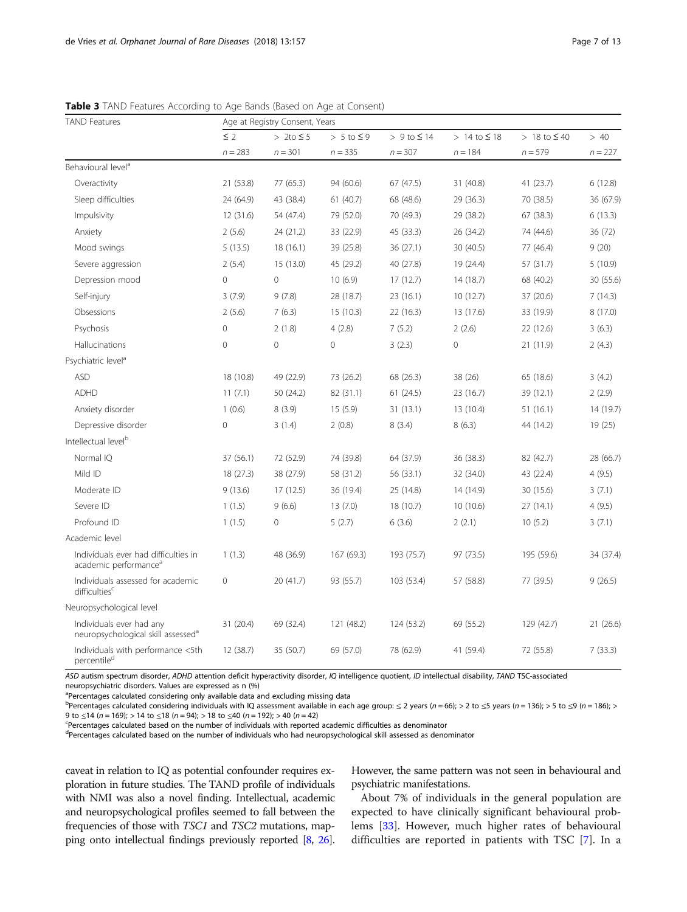| <b>TAND Features</b>                                                       | Age at Registry Consent, Years |                   |                   |                    |                    |                    |           |
|----------------------------------------------------------------------------|--------------------------------|-------------------|-------------------|--------------------|--------------------|--------------------|-----------|
|                                                                            | $\leq$ 2                       | $> 2$ to $\leq 5$ | $> 5$ to $\leq$ 9 | $> 9$ to $\leq 14$ | $>14$ to $\leq 18$ | $>18$ to $\leq 40$ | >40       |
|                                                                            | $n = 283$                      | $n = 301$         | $n = 335$         | $n = 307$          | $n = 184$          | $n = 579$          | $n = 227$ |
| Behavioural level <sup>a</sup>                                             |                                |                   |                   |                    |                    |                    |           |
| Overactivity                                                               | 21 (53.8)                      | 77 (65.3)         | 94 (60.6)         | 67 (47.5)          | 31 (40.8)          | 41 (23.7)          | 6(12.8)   |
| Sleep difficulties                                                         | 24 (64.9)                      | 43 (38.4)         | 61 (40.7)         | 68 (48.6)          | 29 (36.3)          | 70 (38.5)          | 36 (67.9) |
| Impulsivity                                                                | 12 (31.6)                      | 54 (47.4)         | 79 (52.0)         | 70 (49.3)          | 29 (38.2)          | 67 (38.3)          | 6(13.3)   |
| Anxiety                                                                    | 2(5.6)                         | 24 (21.2)         | 33 (22.9)         | 45 (33.3)          | 26 (34.2)          | 74 (44.6)          | 36 (72)   |
| Mood swings                                                                | 5(13.5)                        | 18(16.1)          | 39 (25.8)         | 36 (27.1)          | 30 (40.5)          | 77 (46.4)          | 9(20)     |
| Severe aggression                                                          | 2(5.4)                         | 15 (13.0)         | 45 (29.2)         | 40 (27.8)          | 19 (24.4)          | 57 (31.7)          | 5(10.9)   |
| Depression mood                                                            | 0                              | $\mathbf 0$       | 10(6.9)           | 17(12.7)           | 14 (18.7)          | 68 (40.2)          | 30 (55.6) |
| Self-injury                                                                | 3(7.9)                         | 9(7.8)            | 28 (18.7)         | 23 (16.1)          | 10(12.7)           | 37 (20.6)          | 7(14.3)   |
| Obsessions                                                                 | 2(5.6)                         | 7(6.3)            | 15(10.3)          | 22 (16.3)          | 13 (17.6)          | 33 (19.9)          | 8(17.0)   |
| Psychosis                                                                  | $\mathbf 0$                    | 2(1.8)            | 4(2.8)            | 7(5.2)             | 2(2.6)             | 22 (12.6)          | 3(6.3)    |
| Hallucinations                                                             | $\overline{0}$                 | $\mathbf{0}$      | 0                 | 3(2.3)             | $\overline{0}$     | 21 (11.9)          | 2(4.3)    |
| Psychiatric level <sup>a</sup>                                             |                                |                   |                   |                    |                    |                    |           |
| <b>ASD</b>                                                                 | 18 (10.8)                      | 49 (22.9)         | 73 (26.2)         | 68 (26.3)          | 38 (26)            | 65 (18.6)          | 3(4.2)    |
| <b>ADHD</b>                                                                | 11(7.1)                        | 50 (24.2)         | 82 (31.1)         | 61(24.5)           | 23 (16.7)          | 39 (12.1)          | 2(2.9)    |
| Anxiety disorder                                                           | 1(0.6)                         | 8(3.9)            | 15(5.9)           | 31(13.1)           | 13 (10.4)          | 51 (16.1)          | 14 (19.7) |
| Depressive disorder                                                        | $\mathbf 0$                    | 3(1.4)            | 2(0.8)            | 8(3.4)             | 8(6.3)             | 44 (14.2)          | 19 (25)   |
| Intellectual level <sup>b</sup>                                            |                                |                   |                   |                    |                    |                    |           |
| Normal IQ                                                                  | 37 (56.1)                      | 72 (52.9)         | 74 (39.8)         | 64 (37.9)          | 36 (38.3)          | 82 (42.7)          | 28 (66.7) |
| Mild ID                                                                    | 18 (27.3)                      | 38 (27.9)         | 58 (31.2)         | 56 (33.1)          | 32 (34.0)          | 43 (22.4)          | 4(9.5)    |
| Moderate ID                                                                | 9(13.6)                        | 17(12.5)          | 36 (19.4)         | 25 (14.8)          | 14 (14.9)          | 30 (15.6)          | 3(7.1)    |
| Severe ID                                                                  | 1(1.5)                         | 9(6.6)            | 13(7.0)           | 18 (10.7)          | 10 (10.6)          | 27 (14.1)          | 4(9.5)    |
| Profound ID                                                                | 1(1.5)                         | $\mathbf 0$       | 5(2.7)            | 6(3.6)             | 2(2.1)             | 10(5.2)            | 3(7.1)    |
| Academic level                                                             |                                |                   |                   |                    |                    |                    |           |
| Individuals ever had difficulties in<br>academic performance <sup>a</sup>  | 1(1.3)                         | 48 (36.9)         | 167 (69.3)        | 193 (75.7)         | 97 (73.5)          | 195 (59.6)         | 34 (37.4) |
| Individuals assessed for academic<br>difficulties <sup>c</sup>             | $\overline{0}$                 | 20 (41.7)         | 93 (55.7)         | 103 (53.4)         | 57 (58.8)          | 77 (39.5)          | 9(26.5)   |
| Neuropsychological level                                                   |                                |                   |                   |                    |                    |                    |           |
| Individuals ever had any<br>neuropsychological skill assessed <sup>a</sup> | 31 (20.4)                      | 69 (32.4)         | 121 (48.2)        | 124 (53.2)         | 69 (55.2)          | 129 (42.7)         | 21(26.6)  |
| Individuals with performance <5th<br>percentile <sup>d</sup>               | 12 (38.7)                      | 35 (50.7)         | 69 (57.0)         | 78 (62.9)          | 41 (59.4)          | 72 (55.8)          | 7(33.3)   |

<span id="page-6-0"></span>Table 3 TAND Features According to Age Bands (Based on Age at Consent)

ASD autism spectrum disorder, ADHD attention deficit hyperactivity disorder, IQ intelligence quotient, ID intellectual disability, TAND TSC-associated neuropsychiatric disorders. Values are expressed as n (%)

<sup>a</sup>Percentages calculated considering only available data and excluding missing data

<sup>b</sup>Percentages calculated considering individuals with IQ assessment available in each age group: ≤ 2 years (n = 66); > 2 to ≤5 years (n = 136); > 5 to ≤9 (n = 186); > 9 to ≤14 (n = 169); > 14 to ≤18 (n = 94); > 18 to ≤40 (n = 192); > 40 (n = 42)

Percentages calculated based on the number of individuals with reported academic difficulties as denominator

<sup>d</sup>Percentages calculated based on the number of individuals who had neuropsychological skill assessed as denominator

caveat in relation to IQ as potential confounder requires exploration in future studies. The TAND profile of individuals with NMI was also a novel finding. Intellectual, academic and neuropsychological profiles seemed to fall between the frequencies of those with TSC1 and TSC2 mutations, mapping onto intellectual findings previously reported [\[8](#page-11-0), [26](#page-11-0)]. However, the same pattern was not seen in behavioural and psychiatric manifestations.

About 7% of individuals in the general population are expected to have clinically significant behavioural problems [[33\]](#page-12-0). However, much higher rates of behavioural difficulties are reported in patients with TSC [[7\]](#page-11-0). In a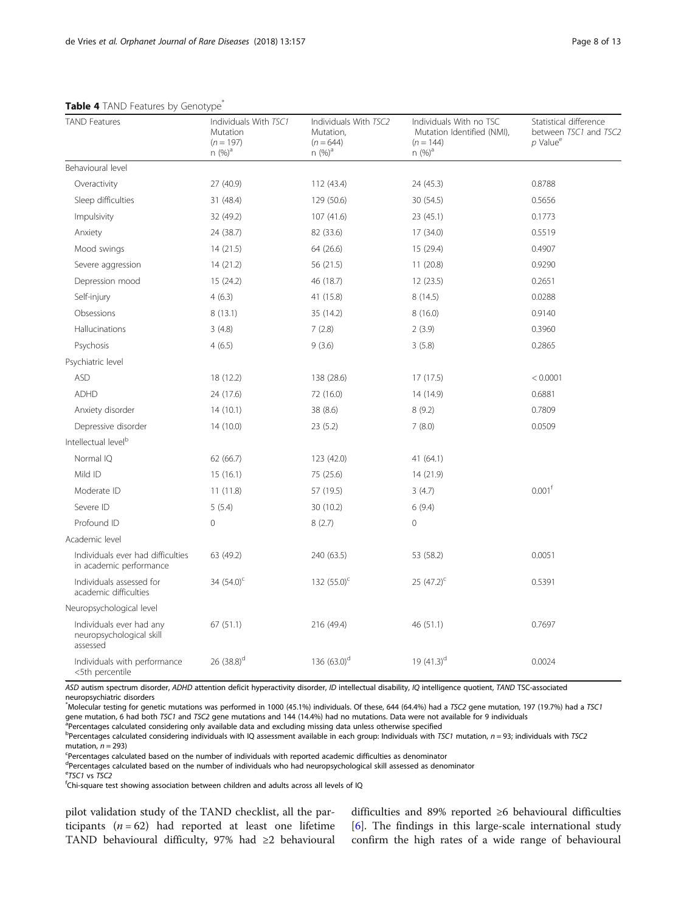| <b>TAND Features</b>                                             | Individuals With TSC1<br>Mutation<br>$(n = 197)$<br>n (%) <sup>a</sup> | Individuals With TSC2<br>Mutation,<br>$(n = 644)$<br>n (%) <sup>a</sup> | Individuals With no TSC<br>Mutation Identified (NMI),<br>$(n = 144)$<br>n (%) <sup>a</sup> | Statistical difference<br>between TSC1 and TSC2<br>$p$ Value <sup>e</sup> |
|------------------------------------------------------------------|------------------------------------------------------------------------|-------------------------------------------------------------------------|--------------------------------------------------------------------------------------------|---------------------------------------------------------------------------|
| Behavioural level                                                |                                                                        |                                                                         |                                                                                            |                                                                           |
| Overactivity                                                     | 27 (40.9)                                                              | 112 (43.4)                                                              | 24 (45.3)                                                                                  | 0.8788                                                                    |
| Sleep difficulties                                               | 31 (48.4)                                                              | 129 (50.6)                                                              | 30 (54.5)                                                                                  | 0.5656                                                                    |
| Impulsivity                                                      | 32 (49.2)                                                              | 107(41.6)                                                               | 23(45.1)                                                                                   | 0.1773                                                                    |
| Anxiety                                                          | 24 (38.7)                                                              | 82 (33.6)                                                               | 17 (34.0)                                                                                  | 0.5519                                                                    |
| Mood swings                                                      | 14 (21.5)                                                              | 64 (26.6)                                                               | 15 (29.4)                                                                                  | 0.4907                                                                    |
| Severe aggression                                                | 14 (21.2)                                                              | 56 (21.5)                                                               | 11(20.8)                                                                                   | 0.9290                                                                    |
| Depression mood                                                  | 15(24.2)                                                               | 46 (18.7)                                                               | 12(23.5)                                                                                   | 0.2651                                                                    |
| Self-injury                                                      | 4(6.3)                                                                 | 41 (15.8)                                                               | 8(14.5)                                                                                    | 0.0288                                                                    |
| Obsessions                                                       | 8(13.1)                                                                | 35 (14.2)                                                               | 8(16.0)                                                                                    | 0.9140                                                                    |
| Hallucinations                                                   | 3(4.8)                                                                 | 7(2.8)                                                                  | 2(3.9)                                                                                     | 0.3960                                                                    |
| Psychosis                                                        | 4(6.5)                                                                 | 9(3.6)                                                                  | 3(5.8)                                                                                     | 0.2865                                                                    |
| Psychiatric level                                                |                                                                        |                                                                         |                                                                                            |                                                                           |
| <b>ASD</b>                                                       | 18 (12.2)                                                              | 138 (28.6)                                                              | 17 (17.5)                                                                                  | < 0.0001                                                                  |
| <b>ADHD</b>                                                      | 24 (17.6)                                                              | 72 (16.0)                                                               | 14 (14.9)                                                                                  | 0.6881                                                                    |
| Anxiety disorder                                                 | 14(10.1)                                                               | 38(8.6)                                                                 | 8(9.2)                                                                                     | 0.7809                                                                    |
| Depressive disorder                                              | 14(10.0)                                                               | 23(5.2)                                                                 | 7(8.0)                                                                                     | 0.0509                                                                    |
| Intellectual level <sup>b</sup>                                  |                                                                        |                                                                         |                                                                                            |                                                                           |
| Normal IQ                                                        | 62 (66.7)                                                              | 123 (42.0)                                                              | 41(64.1)                                                                                   |                                                                           |
| Mild ID                                                          | 15(16.1)                                                               | 75 (25.6)                                                               | 14 (21.9)                                                                                  |                                                                           |
| Moderate ID                                                      | 11 (11.8)                                                              | 57 (19.5)                                                               | 3(4.7)                                                                                     | $0.001f$                                                                  |
| Severe ID                                                        | 5(5.4)                                                                 | 30 (10.2)                                                               | 6(9.4)                                                                                     |                                                                           |
| Profound ID                                                      | $\overline{0}$                                                         | 8(2.7)                                                                  | $\circ$                                                                                    |                                                                           |
| Academic level                                                   |                                                                        |                                                                         |                                                                                            |                                                                           |
| Individuals ever had difficulties<br>in academic performance     | 63 (49.2)                                                              | 240 (63.5)                                                              | 53 (58.2)                                                                                  | 0.0051                                                                    |
| Individuals assessed for<br>academic difficulties                | 34 $(54.0)$ <sup>c</sup>                                               | 132 $(55.0)^c$                                                          | 25 $(47.2)^c$                                                                              | 0.5391                                                                    |
| Neuropsychological level                                         |                                                                        |                                                                         |                                                                                            |                                                                           |
| Individuals ever had any<br>neuropsychological skill<br>assessed | 67(51.1)                                                               | 216 (49.4)                                                              | 46 (51.1)                                                                                  | 0.7697                                                                    |
| Individuals with performance<br><5th percentile                  | 26 $(38.8)^d$                                                          | 136 $(63.0)^d$                                                          | 19 $(41.3)$ <sup>d</sup>                                                                   | 0.0024                                                                    |

#### <span id="page-7-0"></span>Table 4 TAND Features by Genotype<sup>\*</sup>

ASD autism spectrum disorder, ADHD attention deficit hyperactivity disorder, ID intellectual disability, IQ intelligence quotient, TAND TSC-associated neuropsychiatric disorders

\*Molecular testing for genetic mutations was performed in 1000 (45.1%) individuals. Of these, 644 (64.4%) had a TSC2 gene mutation, 197 (19.7%) had a TSC1 gene mutation, 6 had both TSC1 and TSC2 gene mutations and 144 (14.4%) had no mutations. Data were not available for 9 individuals

<sup>a</sup>Percentages calculated considering only available data and excluding missing data unless otherwise specified

<sup>b</sup>Percentages calculated considering individuals with IQ assessment available in each group: Individuals with TSC1 mutation, n = 93; individuals with TSC2 mutation,  $n = 293$ 

Percentages calculated based on the number of individuals with reported academic difficulties as denominator

<sup>d</sup>Percentages calculated based on the number of individuals who had neuropsychological skill assessed as denominator

<sup>e</sup>TSC1 vs TSC2<br><sup>f</sup>Chi squaro to

Chi-square test showing association between children and adults across all levels of IQ

pilot validation study of the TAND checklist, all the participants ( $n = 62$ ) had reported at least one lifetime TAND behavioural difficulty, 97% had ≥2 behavioural difficulties and 89% reported ≥6 behavioural difficulties [[6\]](#page-11-0). The findings in this large-scale international study confirm the high rates of a wide range of behavioural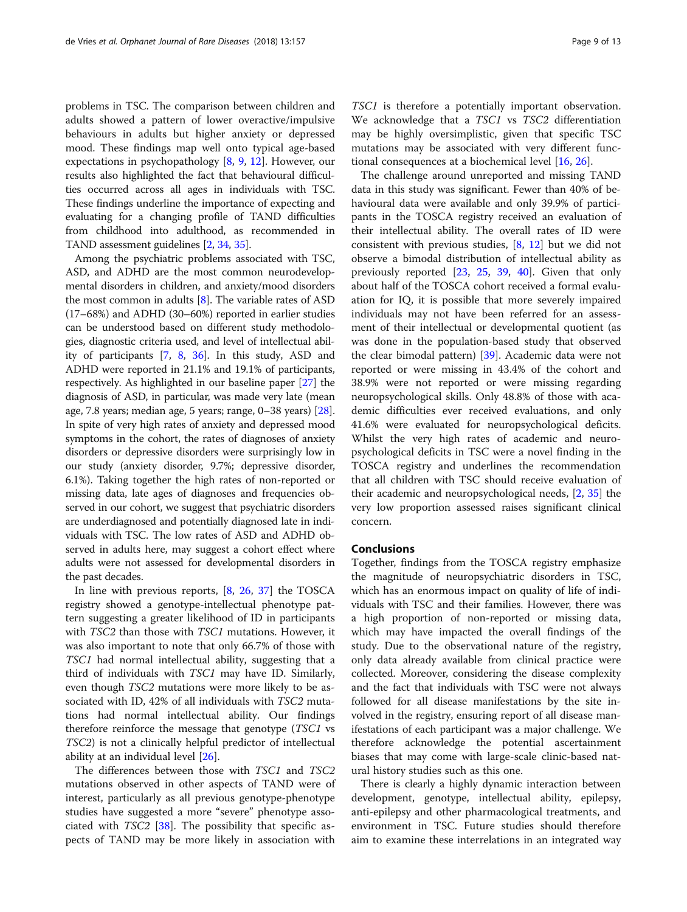problems in TSC. The comparison between children and adults showed a pattern of lower overactive/impulsive behaviours in adults but higher anxiety or depressed mood. These findings map well onto typical age-based expectations in psychopathology [\[8](#page-11-0), [9,](#page-11-0) [12\]](#page-11-0). However, our results also highlighted the fact that behavioural difficulties occurred across all ages in individuals with TSC. These findings underline the importance of expecting and evaluating for a changing profile of TAND difficulties from childhood into adulthood, as recommended in TAND assessment guidelines [\[2,](#page-11-0) [34](#page-12-0), [35\]](#page-12-0).

Among the psychiatric problems associated with TSC, ASD, and ADHD are the most common neurodevelopmental disorders in children, and anxiety/mood disorders the most common in adults [[8\]](#page-11-0). The variable rates of ASD (17–68%) and ADHD (30–60%) reported in earlier studies can be understood based on different study methodologies, diagnostic criteria used, and level of intellectual ability of participants [[7](#page-11-0), [8](#page-11-0), [36](#page-12-0)]. In this study, ASD and ADHD were reported in 21.1% and 19.1% of participants, respectively. As highlighted in our baseline paper [\[27\]](#page-11-0) the diagnosis of ASD, in particular, was made very late (mean age, 7.8 years; median age, 5 years; range, 0–38 years) [[28](#page-11-0)]. In spite of very high rates of anxiety and depressed mood symptoms in the cohort, the rates of diagnoses of anxiety disorders or depressive disorders were surprisingly low in our study (anxiety disorder, 9.7%; depressive disorder, 6.1%). Taking together the high rates of non-reported or missing data, late ages of diagnoses and frequencies observed in our cohort, we suggest that psychiatric disorders are underdiagnosed and potentially diagnosed late in individuals with TSC. The low rates of ASD and ADHD observed in adults here, may suggest a cohort effect where adults were not assessed for developmental disorders in the past decades.

In line with previous reports, [\[8](#page-11-0), [26](#page-11-0), [37\]](#page-12-0) the TOSCA registry showed a genotype-intellectual phenotype pattern suggesting a greater likelihood of ID in participants with *TSC2* than those with *TSC1* mutations. However, it was also important to note that only 66.7% of those with TSC1 had normal intellectual ability, suggesting that a third of individuals with TSC1 may have ID. Similarly, even though TSC2 mutations were more likely to be associated with ID, 42% of all individuals with TSC2 mutations had normal intellectual ability. Our findings therefore reinforce the message that genotype (TSC1 vs TSC2) is not a clinically helpful predictor of intellectual ability at an individual level [\[26](#page-11-0)].

The differences between those with TSC1 and TSC2 mutations observed in other aspects of TAND were of interest, particularly as all previous genotype-phenotype studies have suggested a more "severe" phenotype associated with  $TSC2$  [[38](#page-12-0)]. The possibility that specific aspects of TAND may be more likely in association with TSC1 is therefore a potentially important observation. We acknowledge that a TSC1 vs TSC2 differentiation may be highly oversimplistic, given that specific TSC mutations may be associated with very different functional consequences at a biochemical level [\[16](#page-11-0), [26\]](#page-11-0).

The challenge around unreported and missing TAND data in this study was significant. Fewer than 40% of behavioural data were available and only 39.9% of participants in the TOSCA registry received an evaluation of their intellectual ability. The overall rates of ID were consistent with previous studies,  $[8, 12]$  $[8, 12]$  $[8, 12]$  $[8, 12]$  $[8, 12]$  but we did not observe a bimodal distribution of intellectual ability as previously reported [[23,](#page-11-0) [25](#page-11-0), [39,](#page-12-0) [40\]](#page-12-0). Given that only about half of the TOSCA cohort received a formal evaluation for IQ, it is possible that more severely impaired individuals may not have been referred for an assessment of their intellectual or developmental quotient (as was done in the population-based study that observed the clear bimodal pattern) [\[39](#page-12-0)]. Academic data were not reported or were missing in 43.4% of the cohort and 38.9% were not reported or were missing regarding neuropsychological skills. Only 48.8% of those with academic difficulties ever received evaluations, and only 41.6% were evaluated for neuropsychological deficits. Whilst the very high rates of academic and neuropsychological deficits in TSC were a novel finding in the TOSCA registry and underlines the recommendation that all children with TSC should receive evaluation of their academic and neuropsychological needs, [\[2](#page-11-0), [35](#page-12-0)] the very low proportion assessed raises significant clinical concern.

## Conclusions

Together, findings from the TOSCA registry emphasize the magnitude of neuropsychiatric disorders in TSC, which has an enormous impact on quality of life of individuals with TSC and their families. However, there was a high proportion of non-reported or missing data, which may have impacted the overall findings of the study. Due to the observational nature of the registry, only data already available from clinical practice were collected. Moreover, considering the disease complexity and the fact that individuals with TSC were not always followed for all disease manifestations by the site involved in the registry, ensuring report of all disease manifestations of each participant was a major challenge. We therefore acknowledge the potential ascertainment biases that may come with large-scale clinic-based natural history studies such as this one.

There is clearly a highly dynamic interaction between development, genotype, intellectual ability, epilepsy, anti-epilepsy and other pharmacological treatments, and environment in TSC. Future studies should therefore aim to examine these interrelations in an integrated way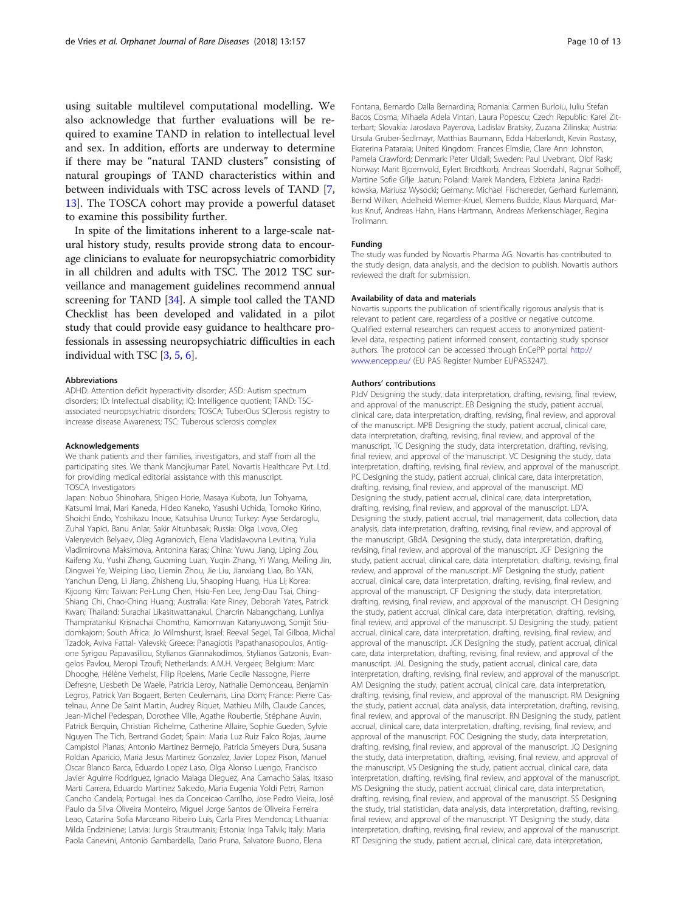using suitable multilevel computational modelling. We also acknowledge that further evaluations will be required to examine TAND in relation to intellectual level and sex. In addition, efforts are underway to determine if there may be "natural TAND clusters" consisting of natural groupings of TAND characteristics within and between individuals with TSC across levels of TAND [\[7](#page-11-0), [13\]](#page-11-0). The TOSCA cohort may provide a powerful dataset to examine this possibility further.

In spite of the limitations inherent to a large-scale natural history study, results provide strong data to encourage clinicians to evaluate for neuropsychiatric comorbidity in all children and adults with TSC. The 2012 TSC surveillance and management guidelines recommend annual screening for TAND [[34](#page-12-0)]. A simple tool called the TAND Checklist has been developed and validated in a pilot study that could provide easy guidance to healthcare professionals in assessing neuropsychiatric difficulties in each individual with TSC [[3,](#page-11-0) [5](#page-11-0), [6\]](#page-11-0).

#### Abbreviations

ADHD: Attention deficit hyperactivity disorder; ASD: Autism spectrum disorders; ID: Intellectual disability; IQ: Intelligence quotient; TAND: TSCassociated neuropsychiatric disorders; TOSCA: TuberOus SClerosis registry to increase disease Awareness; TSC: Tuberous sclerosis complex

#### Acknowledgements

We thank patients and their families, investigators, and staff from all the participating sites. We thank Manojkumar Patel, Novartis Healthcare Pvt. Ltd. for providing medical editorial assistance with this manuscript. TOSCA Investigators

Japan: Nobuo Shinohara, Shigeo Horie, Masaya Kubota, Jun Tohyama, Katsumi Imai, Mari Kaneda, Hideo Kaneko, Yasushi Uchida, Tomoko Kirino, Shoichi Endo, Yoshikazu Inoue, Katsuhisa Uruno; Turkey: Ayse Serdaroglu, Zuhal Yapici, Banu Anlar, Sakir Altunbasak; Russia: Olga Lvova, Oleg Valeryevich Belyaev, Oleg Agranovich, Elena Vladislavovna Levitina, Yulia Vladimirovna Maksimova, Antonina Karas; China: Yuwu Jiang, Liping Zou, Kaifeng Xu, Yushi Zhang, Guoming Luan, Yuqin Zhang, Yi Wang, Meiling Jin, Dingwei Ye, Weiping Liao, Liemin Zhou, Jie Liu, Jianxiang Liao, Bo YAN, Yanchun Deng, Li Jiang, Zhisheng Liu, Shaoping Huang, Hua Li; Korea: Kijoong Kim; Taiwan: Pei-Lung Chen, Hsiu-Fen Lee, Jeng-Dau Tsai, Ching-Shiang Chi, Chao-Ching Huang; Australia: Kate Riney, Deborah Yates, Patrick Kwan; Thailand: Surachai Likasitwattanakul, Charcrin Nabangchang, Lunliya Thampratankul Krisnachai Chomtho, Kamornwan Katanyuwong, Somjit Sriudomkajorn; South Africa: Jo Wilmshurst; Israel: Reeval Segel, Tal Gilboa, Michal Tzadok, Aviva Fattal- Valevski; Greece: Panagiotis Papathanasopoulos, Antigone Syrigou Papavasiliou, Stylianos Giannakodimos, Stylianos Gatzonis, Evangelos Pavlou, Meropi Tzoufi; Netherlands: A.M.H. Vergeer; Belgium: Marc Dhooghe, Hélène Verhelst, Filip Roelens, Marie Cecile Nassogne, Pierre Defresne, Liesbeth De Waele, Patricia Leroy, Nathalie Demonceau, Benjamin Legros, Patrick Van Bogaert, Berten Ceulemans, Lina Dom; France: Pierre Castelnau, Anne De Saint Martin, Audrey Riquet, Mathieu Milh, Claude Cances, Jean-Michel Pedespan, Dorothee Ville, Agathe Roubertie, Stéphane Auvin, Patrick Berquin, Christian Richelme, Catherine Allaire, Sophie Gueden, Sylvie Nguyen The Tich, Bertrand Godet; Spain: Maria Luz Ruiz Falco Rojas, Jaume Campistol Planas, Antonio Martinez Bermejo, Patricia Smeyers Dura, Susana Roldan Aparicio, Maria Jesus Martinez Gonzalez, Javier Lopez Pison, Manuel Oscar Blanco Barca, Eduardo Lopez Laso, Olga Alonso Luengo, Francisco Javier Aguirre Rodriguez, Ignacio Malaga Dieguez, Ana Camacho Salas, Itxaso Marti Carrera, Eduardo Martinez Salcedo, Maria Eugenia Yoldi Petri, Ramon Cancho Candela; Portugal: Ines da Conceicao Carrilho, Jose Pedro Vieira, José Paulo da Silva Oliveira Monteiro, Miguel Jorge Santos de Oliveira Ferreira Leao, Catarina Sofia Marceano Ribeiro Luis, Carla Pires Mendonca; Lithuania: Milda Endziniene; Latvia: Jurgis Strautmanis; Estonia: Inga Talvik; Italy: Maria Paola Canevini, Antonio Gambardella, Dario Pruna, Salvatore Buono, Elena

Fontana, Bernardo Dalla Bernardina; Romania: Carmen Burloiu, Iuliu Stefan Bacos Cosma, Mihaela Adela Vintan, Laura Popescu; Czech Republic: Karel Zitterbart; Slovakia: Jaroslava Payerova, Ladislav Bratsky, Zuzana Zilinska; Austria: Ursula Gruber-Sedlmayr, Matthias Baumann, Edda Haberlandt, Kevin Rostasy, Ekaterina Pataraia; United Kingdom: Frances Elmslie, Clare Ann Johnston, Pamela Crawford; Denmark: Peter Uldall; Sweden: Paul Uvebrant, Olof Rask; Norway: Marit Bjoernvold, Eylert Brodtkorb, Andreas Sloerdahl, Ragnar Solhoff, Martine Sofie Gilje Jaatun; Poland: Marek Mandera, Elzbieta Janina Radzikowska, Mariusz Wysocki; Germany: Michael Fischereder, Gerhard Kurlemann, Bernd Wilken, Adelheid Wiemer-Kruel, Klemens Budde, Klaus Marquard, Markus Knuf, Andreas Hahn, Hans Hartmann, Andreas Merkenschlager, Regina Trollmann.

#### Funding

The study was funded by Novartis Pharma AG. Novartis has contributed to the study design, data analysis, and the decision to publish. Novartis authors reviewed the draft for submission.

#### Availability of data and materials

Novartis supports the publication of scientifically rigorous analysis that is relevant to patient care, regardless of a positive or negative outcome. Qualified external researchers can request access to anonymized patientlevel data, respecting patient informed consent, contacting study sponsor authors. The protocol can be accessed through EnCePP portal [http://](http://www.encepp.eu/) [www.encepp.eu/](http://www.encepp.eu/) (EU PAS Register Number EUPAS3247).

#### Authors' contributions

PJdV Designing the study, data interpretation, drafting, revising, final review, and approval of the manuscript. EB Designing the study, patient accrual, clinical care, data interpretation, drafting, revising, final review, and approval of the manuscript. MPB Designing the study, patient accrual, clinical care, data interpretation, drafting, revising, final review, and approval of the manuscript. TC Designing the study, data interpretation, drafting, revising, final review, and approval of the manuscript. VC Designing the study, data interpretation, drafting, revising, final review, and approval of the manuscript. PC Designing the study, patient accrual, clinical care, data interpretation, drafting, revising, final review, and approval of the manuscript. MD Designing the study, patient accrual, clinical care, data interpretation, drafting, revising, final review, and approval of the manuscript. LD'A. Designing the study, patient accrual, trial management, data collection, data analysis, data interpretation, drafting, revising, final review, and approval of the manuscript. GBdA. Designing the study, data interpretation, drafting, revising, final review, and approval of the manuscript. JCF Designing the study, patient accrual, clinical care, data interpretation, drafting, revising, final review, and approval of the manuscript. MF Designing the study, patient accrual, clinical care, data interpretation, drafting, revising, final review, and approval of the manuscript. CF Designing the study, data interpretation, drafting, revising, final review, and approval of the manuscript. CH Designing the study, patient accrual, clinical care, data interpretation, drafting, revising, final review, and approval of the manuscript. SJ Designing the study, patient accrual, clinical care, data interpretation, drafting, revising, final review, and approval of the manuscript. JCK Designing the study, patient accrual, clinical care, data interpretation, drafting, revising, final review, and approval of the manuscript. JAL Designing the study, patient accrual, clinical care, data interpretation, drafting, revising, final review, and approval of the manuscript. AM Designing the study, patient accrual, clinical care, data interpretation, drafting, revising, final review, and approval of the manuscript. RM Designing the study, patient accrual, data analysis, data interpretation, drafting, revising, final review, and approval of the manuscript. RN Designing the study, patient accrual, clinical care, data interpretation, drafting, revising, final review, and approval of the manuscript. FOC Designing the study, data interpretation, drafting, revising, final review, and approval of the manuscript. JQ Designing the study, data interpretation, drafting, revising, final review, and approval of the manuscript. VS Designing the study, patient accrual, clinical care, data interpretation, drafting, revising, final review, and approval of the manuscript. MS Designing the study, patient accrual, clinical care, data interpretation, drafting, revising, final review, and approval of the manuscript. SS Designing the study, trial statistician, data analysis, data interpretation, drafting, revising, final review, and approval of the manuscript. YT Designing the study, data interpretation, drafting, revising, final review, and approval of the manuscript. RT Designing the study, patient accrual, clinical care, data interpretation,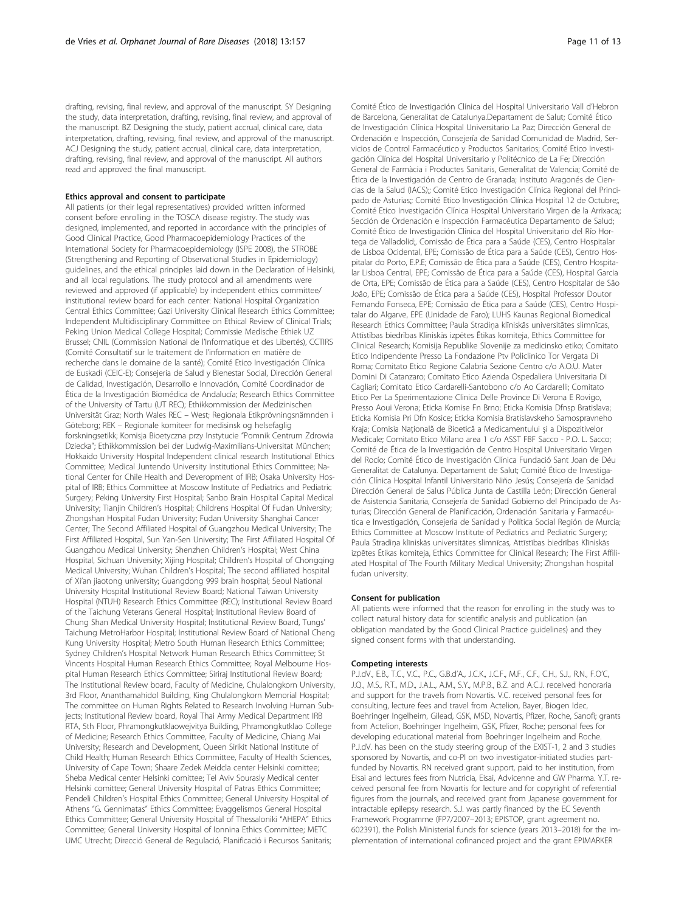drafting, revising, final review, and approval of the manuscript. SY Designing the study, data interpretation, drafting, revising, final review, and approval of the manuscript. BZ Designing the study, patient accrual, clinical care, data interpretation, drafting, revising, final review, and approval of the manuscript. ACJ Designing the study, patient accrual, clinical care, data interpretation, drafting, revising, final review, and approval of the manuscript. All authors read and approved the final manuscript.

#### Ethics approval and consent to participate

All patients (or their legal representatives) provided written informed consent before enrolling in the TOSCA disease registry. The study was designed, implemented, and reported in accordance with the principles of Good Clinical Practice, Good Pharmacoepidemiology Practices of the International Society for Pharmacoepidemiology (ISPE 2008), the STROBE (Strengthening and Reporting of Observational Studies in Epidemiology) guidelines, and the ethical principles laid down in the Declaration of Helsinki, and all local regulations. The study protocol and all amendments were reviewed and approved (if applicable) by independent ethics committee/ institutional review board for each center: National Hospital Organization Central Ethics Committee; Gazi University Clinical Research Ethics Committee; Independent Multidisciplinary Committee on Ethical Review of Clinical Trials; Peking Union Medical College Hospital; Commissie Medische Ethiek UZ Brussel; CNIL (Commission National de l'Informatique et des Libertés), CCTIRS (Comité Consultatif sur le traitement de l'information en matière de recherche dans le domaine de la santé); Comité Etico Investigación Clínica de Euskadi (CEIC-E); Consejeria de Salud y Bienestar Social, Dirección General de Calidad, Investigación, Desarrollo e Innovación, Comité Coordinador de Ética de la Investigación Biomédica de Andalucía; Research Ethics Committee of the University of Tartu (UT REC); Ethikkommission der Medizinischen Universität Graz; North Wales REC – West; Regionala Etikprövningsnämnden i Göteborg; REK – Regionale komiteer for medisinsk og helsefaglig forskningsetikk; Komisja Bioetyczna przy Instytucie "Pomnik Centrum Zdrowia Dziecka"; Ethikkommission bei der Ludwig-Maximilians-Universitat München; Hokkaido University Hospital Independent clinical research Institutional Ethics Committee; Medical Juntendo University Institutional Ethics Committee; National Center for Chile Health and Deveropment of IRB; Osaka University Hospital of IRB; Ethics Committee at Moscow Institute of Pediatrics and Pediatric Surgery; Peking University First Hospital; Sanbo Brain Hospital Capital Medical University; Tianjin Children's Hospital; Childrens Hospital Of Fudan University; Zhongshan Hospital Fudan University; Fudan University Shanghai Cancer Center; The Second Affiliated Hospital of Guangzhou Medical University; The First Affiliated Hospital, Sun Yan-Sen University; The First Affiliated Hospital Of Guangzhou Medical University; Shenzhen Children's Hospital; West China Hospital, Sichuan University; Xijing Hospital; Children's Hospital of Chongqing Medical University; Wuhan Children's Hospital; The second affiliated hospital of Xi'an jiaotong university; Guangdong 999 brain hospital; Seoul National University Hospital Institutional Review Board; National Taiwan University Hospital (NTUH) Research Ethics Committee (REC); Institutional Review Board of the Taichung Veterans General Hospital; Institutional Review Board of Chung Shan Medical University Hospital; Institutional Review Board, Tungs' Taichung MetroHarbor Hospital; Institutional Review Board of National Cheng Kung University Hospital; Metro South Human Research Ethics Committee; Sydney Children's Hospital Network Human Research Ethics Committee; St Vincents Hospital Human Research Ethics Committee; Royal Melbourne Hospital Human Research Ethics Committee; Siriraj Institutional Review Board; The Institutional Review board, Faculty of Medicine, Chulalongkorn University, 3rd Floor, Ananthamahidol Building, King Chulalongkorn Memorial Hospital; The committee on Human Rights Related to Research Involving Human Subjects; Institutional Review board, Royal Thai Army Medical Department IRB RTA, 5th Floor, Phramongkutklaowejvitya Building, Phramongkutklao College of Medicine; Research Ethics Committee, Faculty of Medicine, Chiang Mai University; Research and Development, Queen Sirikit National Institute of Child Health; Human Research Ethics Committee, Faculty of Health Sciences, University of Cape Town; Shaare Zedek Meidcla center Helsinki comittee; Sheba Medical center Helsinki comittee; Tel Aviv Sourasly Medical center Helsinki comittee; General University Hospital of Patras Ethics Committee; Pendeli Children's Hospital Ethics Committee; General University Hospital of Athens "G. Gennimatas" Ethics Committee; Evaggelismos General Hospital Ethics Committee; General University Hospital of Thessaloniki "AHEPA" Ethics Committee; General University Hospital of Ionnina Ethics Committee; METC UMC Utrecht; Direcció General de Regulació, Planificació i Recursos Sanitaris;

Comité Ético de Investigación Clínica del Hospital Universitario Vall d'Hebron de Barcelona, Generalitat de Catalunya.Departament de Salut; Comité Ético de Investigación Clínica Hospital Universitario La Paz; Dirección General de Ordenación e Inspección, Consejería de Sanidad Comunidad de Madrid, Servicios de Control Farmacéutico y Productos Sanitarios; Comité Etico Investigación Clínica del Hospital Universitario y Politécnico de La Fe; Dirección General de Farmàcia i Productes Sanitaris, Generalitat de Valencia; Comité de Ética de la Investigación de Centro de Granada; Instituto Aragonés de Ciencias de la Salud (IACS);; Comité Etico Investigación Clínica Regional del Principado de Asturias;; Comité Etico Investigación Clínica Hospital 12 de Octubre;, Comité Etico Investigación Clínica Hospital Universitario Virgen de la Arrixaca;; Sección de Ordenación e Inspección Farmacéutica Departamento de Salud; Comité Ético de Investigación Clínica del Hospital Universitario del Río Hortega de Valladolid;, Comissão de Ética para a Saúde (CES), Centro Hospitalar de Lisboa Ocidental, EPE; Comissão de Ética para a Saúde (CES), Centro Hospitalar do Porto, E.P.E; Comissão de Ética para a Saúde (CES), Centro Hospitalar Lisboa Central, EPE; Comissão de Ética para a Saúde (CES), Hospital Garcia de Orta, EPE; Comissão de Ética para a Saúde (CES), Centro Hospitalar de São João, EPE; Comissão de Ética para a Saúde (CES), Hospital Professor Doutor Fernando Fonseca, EPE; Comissão de Ética para a Saúde (CES), Centro Hospitalar do Algarve, EPE (Unidade de Faro); LUHS Kaunas Regional Biomedical Research Ethics Committee; Paula Stradiņa klīniskās universitātes slimnīcas, Attīstības biedrības Klīniskās izpētes Ētikas komiteja, Ethics Committee for Clinical Research; Komisija Republike Slovenije za medicinsko etiko; Comitato Etico Indipendente Presso La Fondazione Ptv Policlinico Tor Vergata Di Roma; Comitato Etico Regione Calabria Sezione Centro c/o A.O.U. Mater Domini Di Catanzaro; Comitato Etico Azienda Ospedaliera Universitaria Di Cagliari; Comitato Etico Cardarelli-Santobono c/o Ao Cardarelli; Comitato Etico Per La Sperimentazione Clinica Delle Province Di Verona E Rovigo, Presso Aoui Verona; Eticka Komise Fn Brno; Eticka Komisia Dfnsp Bratislava; Eticka Komisia Pri Dfn Kosice; Eticka Komisia Bratislavskeho Samospravneho Kraja; Comisia Națională de Bioetică a Medicamentului și a Dispozitivelor Medicale; Comitato Etico Milano area 1 c/o ASST FBF Sacco - P.O. L. Sacco; Comité de Ética de la Investigación de Centro Hospital Universitario Virgen del Rocío; Comité Ético de Investigación Clínica Fundació Sant Joan de Déu Generalitat de Catalunya. Departament de Salut; Comité Ético de Investigación Clínica Hospital Infantil Universitario Niño Jesús; Consejería de Sanidad Dirección General de Salus Pública Junta de Castilla León; Dirección General de Asistencia Sanitaria, Consejería de Sanidad Gobierno del Principado de Asturias; Dirección General de Planificación, Ordenación Sanitaria y Farmacéutica e Investigación, Consejeria de Sanidad y Política Social Región de Murcia; Ethics Committee at Moscow Institute of Pediatrics and Pediatric Surgery; Paula Stradiņa klīniskās universitātes slimnīcas, Attīstības biedrības Klīniskās izpētes Ētikas komiteja, Ethics Committee for Clinical Research; The First Affiliated Hospital of The Fourth Military Medical University; Zhongshan hospital fudan university.

#### Consent for publication

All patients were informed that the reason for enrolling in the study was to collect natural history data for scientific analysis and publication (an obligation mandated by the Good Clinical Practice guidelines) and they signed consent forms with that understanding.

#### Competing interests

P.J.dV., E.B., T.C., V.C., P.C., G.B.d'A., J.C.K., J.C.F., M.F., C.F., C.H., S.J., R.N., F.O'C, J.Q., M.S., R.T., M.D., J.A.L., A.M., S.Y., M.P.B., B.Z. and A.C.J. received honoraria and support for the travels from Novartis. V.C. received personal fees for consulting, lecture fees and travel from Actelion, Bayer, Biogen Idec, Boehringer Ingelheim, Gilead, GSK, MSD, Novartis, Pfizer, Roche, Sanofi; grants from Actelion, Boehringer Ingelheim, GSK, Pfizer, Roche; personal fees for developing educational material from Boehringer Ingelheim and Roche. P.J.dV. has been on the study steering group of the EXIST-1, 2 and 3 studies sponsored by Novartis, and co-PI on two investigator-initiated studies partfunded by Novartis. RN received grant support, paid to her institution, from Eisai and lectures fees from Nutricia, Eisai, Advicenne and GW Pharma. Y.T. received personal fee from Novartis for lecture and for copyright of referential figures from the journals, and received grant from Japanese government for intractable epilepsy research. S.J. was partly financed by the EC Seventh Framework Programme (FP7/2007–2013; EPISTOP, grant agreement no. 602391), the Polish Ministerial funds for science (years 2013–2018) for the implementation of international cofinanced project and the grant EPIMARKER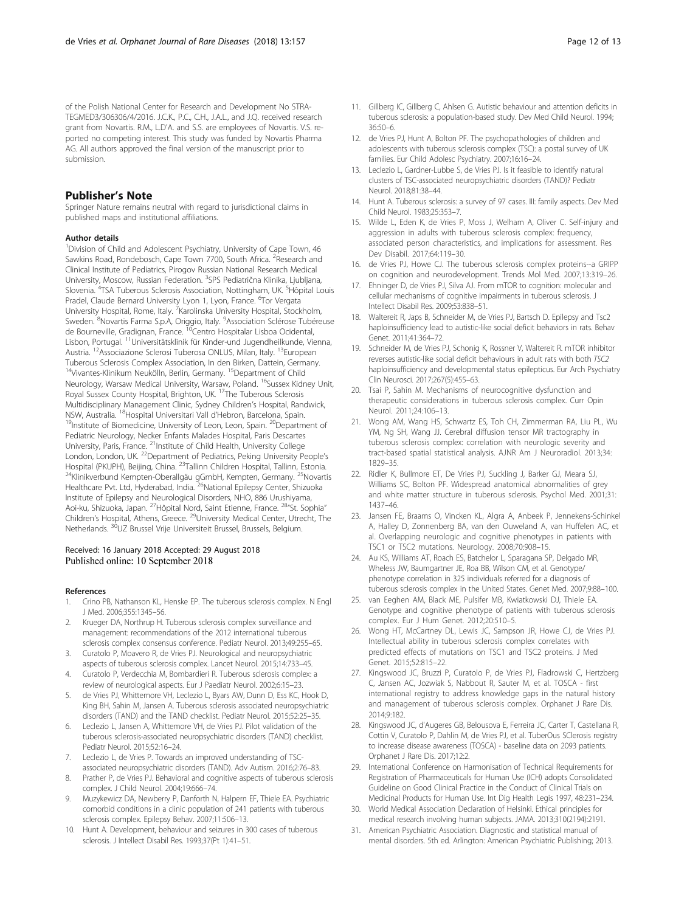<span id="page-11-0"></span>of the Polish National Center for Research and Development No STRA-TEGMED3/306306/4/2016. J.C.K., P.C., C.H., J.A.L., and J.Q. received research grant from Novartis. R.M., L.D'A. and S.S. are employees of Novartis. V.S. reported no competing interest. This study was funded by Novartis Pharma AG. All authors approved the final version of the manuscript prior to submission.

## Publisher's Note

Springer Nature remains neutral with regard to jurisdictional claims in published maps and institutional affiliations.

#### Author details

<sup>1</sup> Division of Child and Adolescent Psychiatry, University of Cape Town, 46 Sawkins Road, Rondebosch, Cape Town 7700, South Africa. <sup>2</sup>Research and Clinical Institute of Pediatrics, Pirogov Russian National Research Medical University, Moscow, Russian Federation. <sup>3</sup>SPS Pediatrična Klinika, Ljubljana, Slovenia. <sup>4</sup>TSA Tuberous Sclerosis Association, Nottingham, UK. <sup>5</sup>Hôpital Louis Pradel, Claude Bernard University Lyon 1, Lyon, France. <sup>6</sup>Tor Vergata University Hospital, Rome, Italy. <sup>7</sup>Karolinska University Hospital, Stockholm, Sweden. <sup>8</sup>Novartis Farma S.p.A, Origgio, Italy. <sup>9</sup>Association Sclérose Tubéreuse de Bourneville, Gradignan, France. <sup>10</sup>Centro Hospitalar Lisboa Ocidental, Lisbon, Portugal. 11Universitätsklinik für Kinder-und Jugendheilkunde, Vienna, Austria. <sup>12</sup>Associazione Sclerosi Tuberosa ONLUS, Milan, Italy. <sup>13</sup>European Tuberous Sclerosis Complex Association, In den Birken, Dattein, Germany. <sup>14</sup>Vivantes-Klinikum Neukölln, Berlin, Germany. <sup>15</sup>Department of Child Neurology, Warsaw Medical University, Warsaw, Poland. <sup>16</sup>Sussex Kidney Unit, Royal Sussex County Hospital, Brighton, UK. <sup>17</sup>The Tuberous Sclerosis Multidisciplinary Management Clinic, Sydney Children's Hospital, Randwick, NSW, Australia. <sup>18</sup>Hospital Universitari Vall d'Hebron, Barcelona, Spain.<br><sup>19</sup>Institute of Biomedicine, University of Leon, Leon, Spain. <sup>20</sup>Department of Pediatric Neurology, Necker Enfants Malades Hospital, Paris Descartes University, Paris, France. <sup>21</sup>Institute of Child Health, University College London, London, UK. <sup>22</sup>Department of Pediatrics, Peking University People's Hospital (PKUPH), Beijing, China. <sup>23</sup>Tallinn Children Hospital, Tallinn, Estonia. <sup>24</sup>Klinikverbund Kempten-Oberallgäu gGmbH, Kempten, Germany. <sup>25</sup>Novartis Healthcare Pvt. Ltd, Hyderabad, India. <sup>26</sup>National Epilepsy Center, Shizuoka Institute of Epilepsy and Neurological Disorders, NHO, 886 Urushiyama, Aoi-ku, Shizuoka, Japan. 27Hôpital Nord, Saint Etienne, France. <sup>28</sup>"St. Sophia" Children's Hospital, Athens, Greece. 29University Medical Center, Utrecht, The Netherlands. <sup>30</sup>UZ Brussel Vrije Universiteit Brussel, Brussels, Belgium.

## Received: 16 January 2018 Accepted: 29 August 2018 Published online: 10 September 2018

#### References

- Crino PB, Nathanson KL, Henske EP. The tuberous sclerosis complex. N Engl J Med. 2006;355:1345–56.
- 2. Krueger DA, Northrup H. Tuberous sclerosis complex surveillance and management: recommendations of the 2012 international tuberous sclerosis complex consensus conference. Pediatr Neurol. 2013;49:255–65.
- 3. Curatolo P, Moavero R, de Vries PJ. Neurological and neuropsychiatric aspects of tuberous sclerosis complex. Lancet Neurol. 2015;14:733–45.
- 4. Curatolo P, Verdecchia M, Bombardieri R. Tuberous sclerosis complex: a review of neurological aspects. Eur J Paediatr Neurol. 2002;6:15–23.
- 5. de Vries PJ, Whittemore VH, Leclezio L, Byars AW, Dunn D, Ess KC, Hook D, King BH, Sahin M, Jansen A. Tuberous sclerosis associated neuropsychiatric disorders (TAND) and the TAND checklist. Pediatr Neurol. 2015;52:25–35.
- 6. Leclezio L, Jansen A, Whittemore VH, de Vries PJ. Pilot validation of the tuberous sclerosis-associated neuropsychiatric disorders (TAND) checklist. Pediatr Neurol. 2015;52:16–24.
- 7. Leclezio L, de Vries P. Towards an improved understanding of TSCassociated neuropsychiatric disorders (TAND). Adv Autism. 2016;2:76–83.
- 8. Prather P, de Vries PJ. Behavioral and cognitive aspects of tuberous sclerosis complex. J Child Neurol. 2004;19:666–74.
- 9. Muzykewicz DA, Newberry P, Danforth N, Halpern EF, Thiele EA. Psychiatric comorbid conditions in a clinic population of 241 patients with tuberous sclerosis complex. Epilepsy Behav. 2007;11:506–13.
- 10. Hunt A. Development, behaviour and seizures in 300 cases of tuberous sclerosis. J Intellect Disabil Res. 1993;37(Pt 1):41–51.
- 11. Gillberg IC, Gillberg C, Ahlsen G. Autistic behaviour and attention deficits in tuberous sclerosis: a population-based study. Dev Med Child Neurol. 1994; 36:50–6.
- 12. de Vries PJ, Hunt A, Bolton PF. The psychopathologies of children and adolescents with tuberous sclerosis complex (TSC): a postal survey of UK families. Eur Child Adolesc Psychiatry. 2007;16:16–24.
- 13. Leclezio L, Gardner-Lubbe S, de Vries PJ. Is it feasible to identify natural clusters of TSC-associated neuropsychiatric disorders (TAND)? Pediatr Neurol. 2018;81:38–44.
- 14. Hunt A. Tuberous sclerosis: a survey of 97 cases. III: family aspects. Dev Med Child Neurol. 1983;25:353–7.
- 15. Wilde L, Eden K, de Vries P, Moss J, Welham A, Oliver C. Self-injury and aggression in adults with tuberous sclerosis complex: frequency, associated person characteristics, and implications for assessment. Res Dev Disabil. 2017;64:119–30.
- 16. de Vries PJ, Howe CJ. The tuberous sclerosis complex proteins--a GRIPP on cognition and neurodevelopment. Trends Mol Med. 2007;13:319–26.
- 17. Ehninger D, de Vries PJ, Silva AJ. From mTOR to cognition: molecular and cellular mechanisms of cognitive impairments in tuberous sclerosis. J Intellect Disabil Res. 2009;53:838–51.
- 18. Waltereit R, Japs B, Schneider M, de Vries PJ, Bartsch D. Epilepsy and Tsc2 haploinsufficiency lead to autistic-like social deficit behaviors in rats. Behav Genet. 2011;41:364–72.
- 19. Schneider M, de Vries PJ, Schonig K, Rossner V, Waltereit R. mTOR inhibitor reverses autistic-like social deficit behaviours in adult rats with both TSC2 haploinsufficiency and developmental status epilepticus. Eur Arch Psychiatry Clin Neurosci. 2017;267(5):455–63.
- 20. Tsai P, Sahin M. Mechanisms of neurocognitive dysfunction and therapeutic considerations in tuberous sclerosis complex. Curr Opin Neurol. 2011;24:106–13.
- 21. Wong AM, Wang HS, Schwartz ES, Toh CH, Zimmerman RA, Liu PL, Wu YM, Ng SH, Wang JJ. Cerebral diffusion tensor MR tractography in tuberous sclerosis complex: correlation with neurologic severity and tract-based spatial statistical analysis. AJNR Am J Neuroradiol. 2013;34: 1829–35.
- 22. Ridler K, Bullmore ET, De Vries PJ, Suckling J, Barker GJ, Meara SJ, Williams SC, Bolton PF. Widespread anatomical abnormalities of grey and white matter structure in tuberous sclerosis. Psychol Med. 2001;31: 1437–46.
- 23. Jansen FE, Braams O, Vincken KL, Algra A, Anbeek P, Jennekens-Schinkel A, Halley D, Zonnenberg BA, van den Ouweland A, van Huffelen AC, et al. Overlapping neurologic and cognitive phenotypes in patients with TSC1 or TSC2 mutations. Neurology. 2008;70:908–15.
- 24. Au KS, Williams AT, Roach ES, Batchelor L, Sparagana SP, Delgado MR, Wheless JW, Baumgartner JE, Roa BB, Wilson CM, et al. Genotype/ phenotype correlation in 325 individuals referred for a diagnosis of tuberous sclerosis complex in the United States. Genet Med. 2007;9:88–100.
- 25. van Eeghen AM, Black ME, Pulsifer MB, Kwiatkowski DJ, Thiele EA. Genotype and cognitive phenotype of patients with tuberous sclerosis complex. Eur J Hum Genet. 2012;20:510–5.
- 26. Wong HT, McCartney DL, Lewis JC, Sampson JR, Howe CJ, de Vries PJ. Intellectual ability in tuberous sclerosis complex correlates with predicted effects of mutations on TSC1 and TSC2 proteins. J Med Genet. 2015;52:815–22.
- 27. Kingswood JC, Bruzzi P, Curatolo P, de Vries PJ, Fladrowski C, Hertzberg C, Jansen AC, Jozwiak S, Nabbout R, Sauter M, et al. TOSCA - first international registry to address knowledge gaps in the natural history and management of tuberous sclerosis complex. Orphanet J Rare Dis. 2014;9:182.
- 28. Kingswood JC, d'Augeres GB, Belousova E, Ferreira JC, Carter T, Castellana R, Cottin V, Curatolo P, Dahlin M, de Vries PJ, et al. TuberOus SClerosis registry to increase disease awareness (TOSCA) - baseline data on 2093 patients. Orphanet J Rare Dis. 2017;12:2.
- 29. International Conference on Harmonisation of Technical Requirements for Registration of Pharmaceuticals for Human Use (ICH) adopts Consolidated Guideline on Good Clinical Practice in the Conduct of Clinical Trials on Medicinal Products for Human Use. Int Dig Health Legis 1997, 48:231–234.
- 30. World Medical Association Declaration of Helsinki. Ethical principles for medical research involving human subjects. JAMA. 2013;310(2194):2191.
- 31. American Psychiatric Association. Diagnostic and statistical manual of mental disorders. 5th ed. Arlington: American Psychiatric Publishing; 2013.